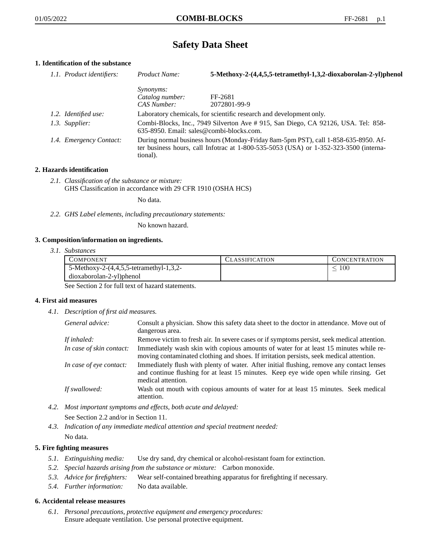# **Safety Data Sheet**

# **1. Identification of the substance**

| 1.1. Product identifiers: | Product Name:                                                                                                                                                                               | 5-Methoxy-2-(4,4,5,5-tetramethyl-1,3,2-dioxaborolan-2-yl)phenol |
|---------------------------|---------------------------------------------------------------------------------------------------------------------------------------------------------------------------------------------|-----------------------------------------------------------------|
|                           | <i>Synonyms:</i>                                                                                                                                                                            |                                                                 |
|                           | Catalog number:                                                                                                                                                                             | FF-2681                                                         |
|                           | CAS Number:                                                                                                                                                                                 | 2072801-99-9                                                    |
| 1.2. Identified use:      | Laboratory chemicals, for scientific research and development only.                                                                                                                         |                                                                 |
| 1.3. Supplier:            | Combi-Blocks, Inc., 7949 Silverton Ave #915, San Diego, CA 92126, USA. Tel: 858-<br>635-8950. Email: sales@combi-blocks.com.                                                                |                                                                 |
| 1.4. Emergency Contact:   | During normal business hours (Monday-Friday 8am-5pm PST), call 1-858-635-8950. Af-<br>ter business hours, call Infotrac at $1-800-535-5053$ (USA) or $1-352-323-3500$ (interna-<br>tional). |                                                                 |

## **2. Hazards identification**

*2.1. Classification of the substance or mixture:* GHS Classification in accordance with 29 CFR 1910 (OSHA HCS)

No data.

*2.2. GHS Label elements, including precautionary statements:*

No known hazard.

## **3. Composition/information on ingredients.**

*3.1. Substances*

| COMPONENT                               | <b>CLASSIFICATION</b> | <b>CONCENTRATION</b> |
|-----------------------------------------|-----------------------|----------------------|
| 5-Methoxy-2-(4,4,5,5-tetramethyl-1,3,2- |                       | $100\,$              |
| dioxaborolan-2-yl)phenol                |                       |                      |

See Section 2 for full text of hazard statements.

## **4. First aid measures**

*4.1. Description of first aid measures.*

| General advice:          | Consult a physician. Show this safety data sheet to the doctor in attendance. Move out of<br>dangerous area.                                                                                            |
|--------------------------|---------------------------------------------------------------------------------------------------------------------------------------------------------------------------------------------------------|
| If inhaled:              | Remove victim to fresh air. In severe cases or if symptoms persist, seek medical attention.                                                                                                             |
| In case of skin contact: | Immediately wash skin with copious amounts of water for at least 15 minutes while re-<br>moving contaminated clothing and shoes. If irritation persists, seek medical attention.                        |
| In case of eye contact:  | Immediately flush with plenty of water. After initial flushing, remove any contact lenses<br>and continue flushing for at least 15 minutes. Keep eye wide open while rinsing. Get<br>medical attention. |
| If swallowed:            | Wash out mouth with copious amounts of water for at least 15 minutes. Seek medical<br>attention.                                                                                                        |

- *4.2. Most important symptoms and effects, both acute and delayed:* See Section 2.2 and/or in Section 11.
- *4.3. Indication of any immediate medical attention and special treatment needed:* No data.

# **5. Fire fighting measures**

- *5.1. Extinguishing media:* Use dry sand, dry chemical or alcohol-resistant foam for extinction.
- *5.2. Special hazards arising from the substance or mixture:* Carbon monoxide.
- *5.3. Advice for firefighters:* Wear self-contained breathing apparatus for firefighting if necessary.
- *5.4. Further information:* No data available.

## **6. Accidental release measures**

*6.1. Personal precautions, protective equipment and emergency procedures:* Ensure adequate ventilation. Use personal protective equipment.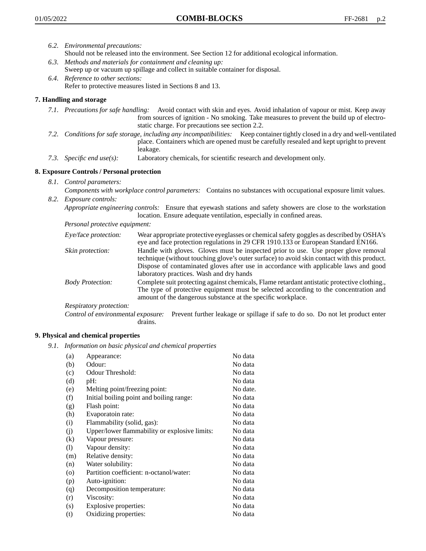- *6.2. Environmental precautions:* Should not be released into the environment. See Section 12 for additional ecological information.
- *6.3. Methods and materials for containment and cleaning up:* Sweep up or vacuum up spillage and collect in suitable container for disposal.
- *6.4. Reference to other sections:* Refer to protective measures listed in Sections 8 and 13.

## **7. Handling and storage**

- *7.1. Precautions for safe handling:* Avoid contact with skin and eyes. Avoid inhalation of vapour or mist. Keep away from sources of ignition - No smoking. Take measures to prevent the build up of electrostatic charge. For precautions see section 2.2.
- *7.2. Conditions for safe storage, including any incompatibilities:* Keep container tightly closed in a dry and well-ventilated place. Containers which are opened must be carefully resealed and kept upright to prevent leakage.
- *7.3. Specific end use(s):* Laboratory chemicals, for scientific research and development only.

## **8. Exposure Controls / Personal protection**

- *8.1. Control parameters:*
- *Components with workplace control parameters:* Contains no substances with occupational exposure limit values. *8.2. Exposure controls:*

*Appropriate engineering controls:* Ensure that eyewash stations and safety showers are close to the workstation location. Ensure adequate ventilation, especially in confined areas.

*Personal protective equipment:*

| Eye/face protection:    | Wear appropriate protective eyeglasses or chemical safety goggles as described by OSHA's<br>eye and face protection regulations in 29 CFR 1910.133 or European Standard EN166.                                                                                                                                         |
|-------------------------|------------------------------------------------------------------------------------------------------------------------------------------------------------------------------------------------------------------------------------------------------------------------------------------------------------------------|
| Skin protection:        | Handle with gloves. Gloves must be inspected prior to use. Use proper glove removal<br>technique (without touching glove's outer surface) to avoid skin contact with this product.<br>Dispose of contaminated gloves after use in accordance with applicable laws and good<br>laboratory practices. Wash and dry hands |
| <b>Body Protection:</b> | Complete suit protecting against chemicals, Flame retardant antistatic protective clothing.,<br>The type of protective equipment must be selected according to the concentration and<br>amount of the dangerous substance at the specific workplace.                                                                   |
| Respiratory protection: |                                                                                                                                                                                                                                                                                                                        |

Control of environmental exposure: Prevent further leakage or spillage if safe to do so. Do not let product enter drains.

## **9. Physical and chemical properties**

*9.1. Information on basic physical and chemical properties*

| (a)                          | Appearance:                                   | No data  |
|------------------------------|-----------------------------------------------|----------|
| (b)                          | Odour:                                        | No data  |
| (c)                          | Odour Threshold:                              | No data  |
| (d)                          | pH:                                           | No data  |
| (e)                          | Melting point/freezing point:                 | No date. |
| (f)                          | Initial boiling point and boiling range:      | No data  |
| (g)                          | Flash point:                                  | No data  |
| (h)                          | Evaporatoin rate:                             | No data  |
| (i)                          | Flammability (solid, gas):                    | No data  |
| (j)                          | Upper/lower flammability or explosive limits: | No data  |
| $\left( k\right)$            | Vapour pressure:                              | No data  |
| $\left( \frac{1}{2} \right)$ | Vapour density:                               | No data  |
| (m)                          | Relative density:                             | No data  |
| (n)                          | Water solubility:                             | No data  |
| $\circ$                      | Partition coefficient: n-octanol/water:       | No data  |
| (p)                          | Auto-ignition:                                | No data  |
| (q)                          | Decomposition temperature:                    | No data  |
| (r)                          | Viscosity:                                    | No data  |
| (s)                          | Explosive properties:                         | No data  |
| (t)                          | Oxidizing properties:                         | No data  |